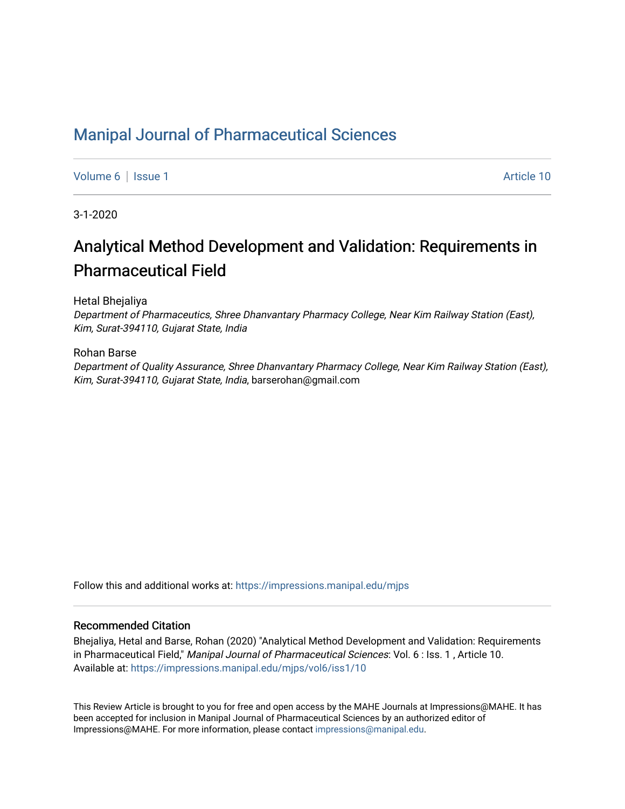# [Manipal Journal of Pharmaceutical Sciences](https://impressions.manipal.edu/mjps)

[Volume 6](https://impressions.manipal.edu/mjps/vol6) | [Issue 1](https://impressions.manipal.edu/mjps/vol6/iss1) Article 10

3-1-2020

# Analytical Method Development and Validation: Requirements in Pharmaceutical Field

Hetal Bhejaliya

Department of Pharmaceutics, Shree Dhanvantary Pharmacy College, Near Kim Railway Station (East), Kim, Surat-394110, Gujarat State, India

#### Rohan Barse

Department of Quality Assurance, Shree Dhanvantary Pharmacy College, Near Kim Railway Station (East), Kim, Surat-394110, Gujarat State, India, barserohan@gmail.com

Follow this and additional works at: [https://impressions.manipal.edu/mjps](https://impressions.manipal.edu/mjps?utm_source=impressions.manipal.edu%2Fmjps%2Fvol6%2Fiss1%2F10&utm_medium=PDF&utm_campaign=PDFCoverPages)

#### Recommended Citation

Bhejaliya, Hetal and Barse, Rohan (2020) "Analytical Method Development and Validation: Requirements in Pharmaceutical Field," Manipal Journal of Pharmaceutical Sciences: Vol. 6: Iss. 1, Article 10. Available at: [https://impressions.manipal.edu/mjps/vol6/iss1/10](https://impressions.manipal.edu/mjps/vol6/iss1/10?utm_source=impressions.manipal.edu%2Fmjps%2Fvol6%2Fiss1%2F10&utm_medium=PDF&utm_campaign=PDFCoverPages) 

This Review Article is brought to you for free and open access by the MAHE Journals at Impressions@MAHE. It has been accepted for inclusion in Manipal Journal of Pharmaceutical Sciences by an authorized editor of Impressions@MAHE. For more information, please contact [impressions@manipal.edu](mailto:impressions@manipal.edu).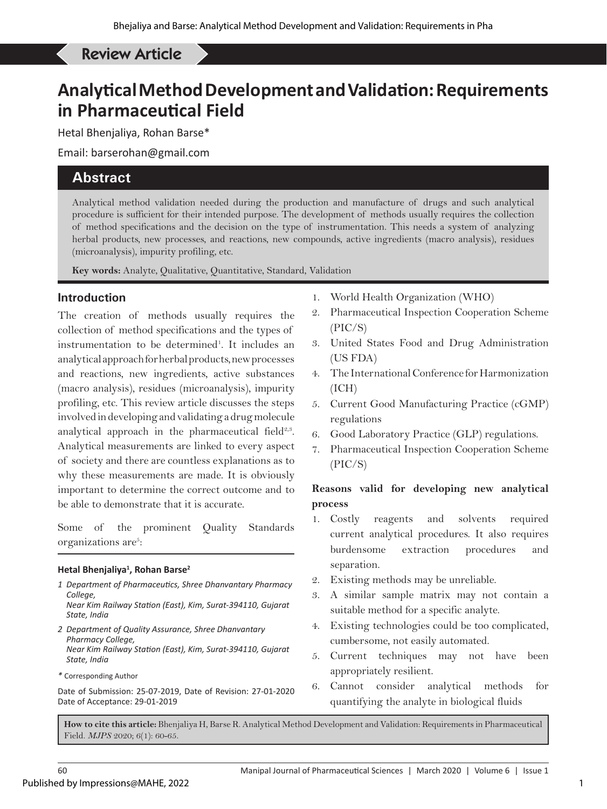# Bhenjaliya H, *et al*: Analytical Method Development and Validation: Requirements in Pharmaceutical Field Review Article

# **Analytical Method Development and Validation: Requirements in Pharmaceutical Field**

Hetal Bhenjaliya, Rohan Barse\*

Email: barserohan@gmail.com

# **Abstract**

Analytical method validation needed during the production and manufacture of drugs and such analytical procedure is sufficient for their intended purpose. The development of methods usually requires the collection of method specifications and the decision on the type of instrumentation. This needs a system of analyzing herbal products, new processes, and reactions, new compounds, active ingredients (macro analysis), residues (microanalysis), impurity profiling, etc.

**Key words:** Analyte, Qualitative, Quantitative, Standard, Validation

# **Introduction**

The creation of methods usually requires the collection of method specifications and the types of instrumentation to be determined<sup>1</sup>. It includes an analytical approach for herbal products, new processes and reactions, new ingredients, active substances (macro analysis), residues (microanalysis), impurity profiling, etc. This review article discusses the steps involved in developing and validating a drug molecule analytical approach in the pharmaceutical field $2.3$ . Analytical measurements are linked to every aspect of society and there are countless explanations as to why these measurements are made. It is obviously important to determine the correct outcome and to be able to demonstrate that it is accurate.

Some of the prominent Quality Standards organizations are<sup>5</sup>:

#### **Hetal Bhenjaliya1 , Rohan Barse2**

- *1 Department of Pharmaceutics, Shree Dhanvantary Pharmacy College,*
- *Near Kim Railway Station (East), Kim, Surat-394110, Gujarat State, India*
- *2 Department of Quality Assurance, Shree Dhanvantary Pharmacy College, Near Kim Railway Station (East), Kim, Surat-394110, Gujarat State, India*
- *\** Corresponding Author

Date of Submission: 25-07-2019, Date of Revision: 27-01-2020 Date of Acceptance: 29-01-2019

- 1. World Health Organization (WHO)
- 2. Pharmaceutical Inspection Cooperation Scheme (PIC/S)
- 3. United States Food and Drug Administration (US FDA)
- 4. The International Conference for Harmonization (ICH)
- 5. Current Good Manufacturing Practice (cGMP) regulations
- 6. Good Laboratory Practice (GLP) regulations.
- 7. Pharmaceutical Inspection Cooperation Scheme (PIC/S)

# **Reasons valid for developing new analytical process**

- 1. Costly reagents and solvents required current analytical procedures. It also requires burdensome extraction procedures and separation.
- 2. Existing methods may be unreliable.
- 3. A similar sample matrix may not contain a suitable method for a specific analyte.
- 4. Existing technologies could be too complicated, cumbersome, not easily automated.
- 5. Current techniques may not have been appropriately resilient.
- 6. Cannot consider analytical methods for quantifying the analyte in biological fluids

**How to cite this article:** Bhenjaliya H, Barse R. Analytical Method Development and Validation: Requirements in Pharmaceutical Field. *MJPS* 2020; 6(1): 60-65.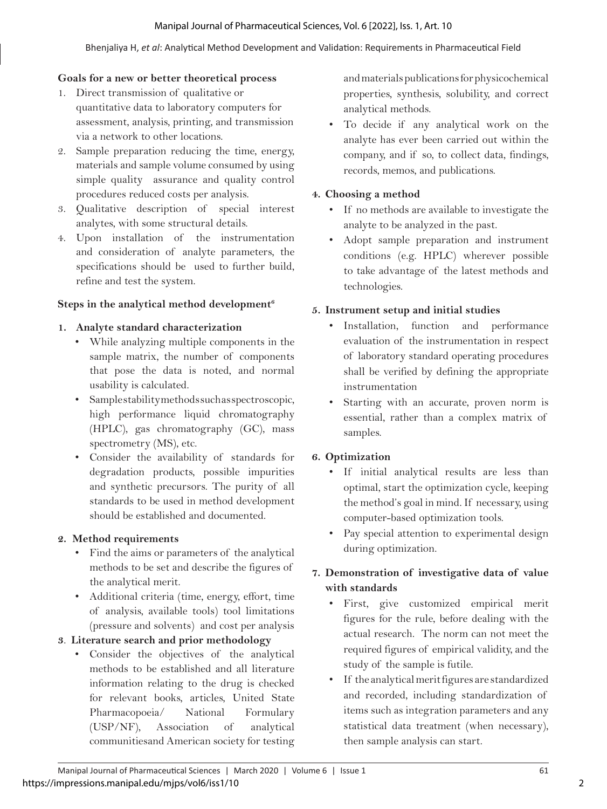#### Manipal Journal of Pharmaceutical Sciences, Vol. 6 [2022], Iss. 1, Art. 10

#### Bhenjaliya H, *et al*: Analytical Method Development and Validation: Requirements in Pharmaceutical Field

#### **Goals for a new or better theoretical process**

- 1. Direct transmission of qualitative or quantitative data to laboratory computers for assessment, analysis, printing, and transmission via a network to other locations.
- 2. Sample preparation reducing the time, energy, materials and sample volume consumed by using simple quality assurance and quality control procedures reduced costs per analysis.
- 3. Qualitative description of special interest analytes, with some structural details.
- 4. Upon installation of the instrumentation and consideration of analyte parameters, the specifications should be used to further build, refine and test the system.

#### **Steps in the analytical method development6**

#### **1. Analyte standard characterization**

- While analyzing multiple components in the sample matrix, the number of components that pose the data is noted, and normal usability is calculated.
- Sample stability methods such as spectroscopic, high performance liquid chromatography (HPLC), gas chromatography (GC), mass spectrometry (MS), etc.
- Consider the availability of standards for degradation products, possible impurities and synthetic precursors. The purity of all standards to be used in method development should be established and documented.

#### **2. Method requirements**

- Find the aims or parameters of the analytical methods to be set and describe the figures of the analytical merit.
- Additional criteria (time, energy, effort, time of analysis, available tools) tool limitations (pressure and solvents) and cost per analysis

#### **3**. **Literature search and prior methodology**

• Consider the objectives of the analytical methods to be established and all literature information relating to the drug is checked for relevant books, articles, United State Pharmacopoeia/ National Formulary (USP/NF), Association of analytical communitiesand American society for testing

and materials publications for physicochemical properties, synthesis, solubility, and correct analytical methods.

• To decide if any analytical work on the analyte has ever been carried out within the company, and if so, to collect data, findings, records, memos, and publications.

#### **4. Choosing a method**

- If no methods are available to investigate the analyte to be analyzed in the past.
- Adopt sample preparation and instrument conditions (e.g. HPLC) wherever possible to take advantage of the latest methods and technologies.

#### **5. Instrument setup and initial studies**

- Installation, function and performance evaluation of the instrumentation in respect of laboratory standard operating procedures shall be verified by defining the appropriate instrumentation
- Starting with an accurate, proven norm is essential, rather than a complex matrix of samples.

#### **6. Optimization**

- If initial analytical results are less than optimal, start the optimization cycle, keeping the method's goal in mind. If necessary, using computer-based optimization tools.
- Pay special attention to experimental design during optimization.

# **7. Demonstration of investigative data of value with standards**

- First, give customized empirical merit figures for the rule, before dealing with the actual research. The norm can not meet the required figures of empirical validity, and the study of the sample is futile.
- If the analytical merit figures are standardized and recorded, including standardization of items such as integration parameters and any statistical data treatment (when necessary), then sample analysis can start.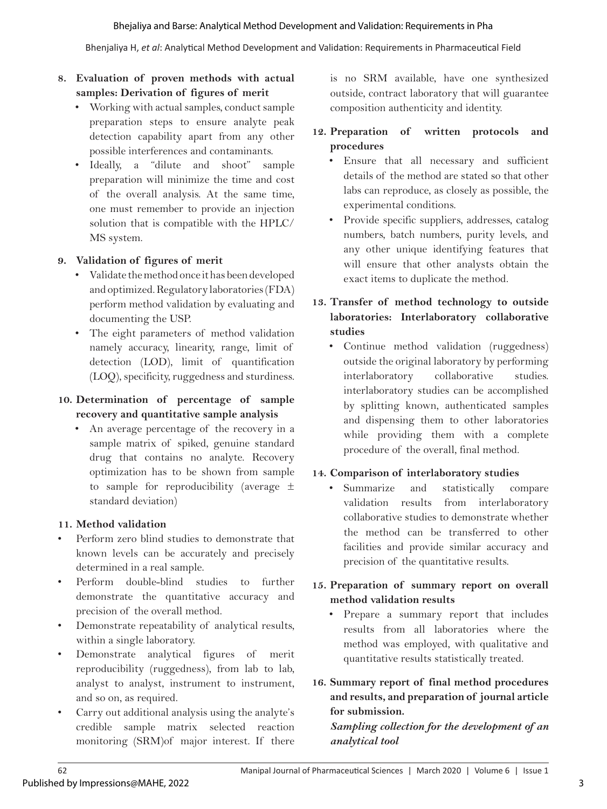#### Bhejaliya and Barse: Analytical Method Development and Validation: Requirements in Pha

Bhenjaliya H, *et al*: Analytical Method Development and Validation: Requirements in Pharmaceutical Field

# **8. Evaluation of proven methods with actual samples: Derivation of figures of merit**

- Working with actual samples, conduct sample preparation steps to ensure analyte peak detection capability apart from any other possible interferences and contaminants.
- Ideally, a "dilute and shoot" sample preparation will minimize the time and cost of the overall analysis. At the same time, one must remember to provide an injection solution that is compatible with the HPLC/ MS system.

#### **9. Validation of figures of merit**

- Validate the method once it has been developed and optimized. Regulatory laboratories (FDA) perform method validation by evaluating and documenting the USP.
- The eight parameters of method validation namely accuracy, linearity, range, limit of detection (LOD), limit of quantification (LOQ), specificity, ruggedness and sturdiness.

#### **10. Determination of percentage of sample recovery and quantitative sample analysis**

• An average percentage of the recovery in a sample matrix of spiked, genuine standard drug that contains no analyte. Recovery optimization has to be shown from sample to sample for reproducibility (average ± standard deviation)

#### **11. Method validation**

- Perform zero blind studies to demonstrate that known levels can be accurately and precisely determined in a real sample.
- Perform double-blind studies to further demonstrate the quantitative accuracy and precision of the overall method.
- Demonstrate repeatability of analytical results, within a single laboratory.
- Demonstrate analytical figures of merit reproducibility (ruggedness), from lab to lab, analyst to analyst, instrument to instrument, and so on, as required.
- Carry out additional analysis using the analyte's credible sample matrix selected reaction monitoring (SRM)of major interest. If there

is no SRM available, have one synthesized outside, contract laboratory that will guarantee composition authenticity and identity.

#### **12. Preparation of written protocols and procedures**

- Ensure that all necessary and sufficient details of the method are stated so that other labs can reproduce, as closely as possible, the experimental conditions.
- Provide specific suppliers, addresses, catalog numbers, batch numbers, purity levels, and any other unique identifying features that will ensure that other analysts obtain the exact items to duplicate the method.

# **13. Transfer of method technology to outside laboratories: Interlaboratory collaborative studies**

• Continue method validation (ruggedness) outside the original laboratory by performing interlaboratory collaborative studies. interlaboratory studies can be accomplished by splitting known, authenticated samples and dispensing them to other laboratories while providing them with a complete procedure of the overall, final method.

#### **14. Comparison of interlaboratory studies**

• Summarize and statistically compare validation results from interlaboratory collaborative studies to demonstrate whether the method can be transferred to other facilities and provide similar accuracy and precision of the quantitative results.

## **15. Preparation of summary report on overall method validation results**

- Prepare a summary report that includes results from all laboratories where the method was employed, with qualitative and quantitative results statistically treated.
- **16. Summary report of final method procedures and results, and preparation of journal article for submission.**

# *Sampling collection for the development of an analytical tool*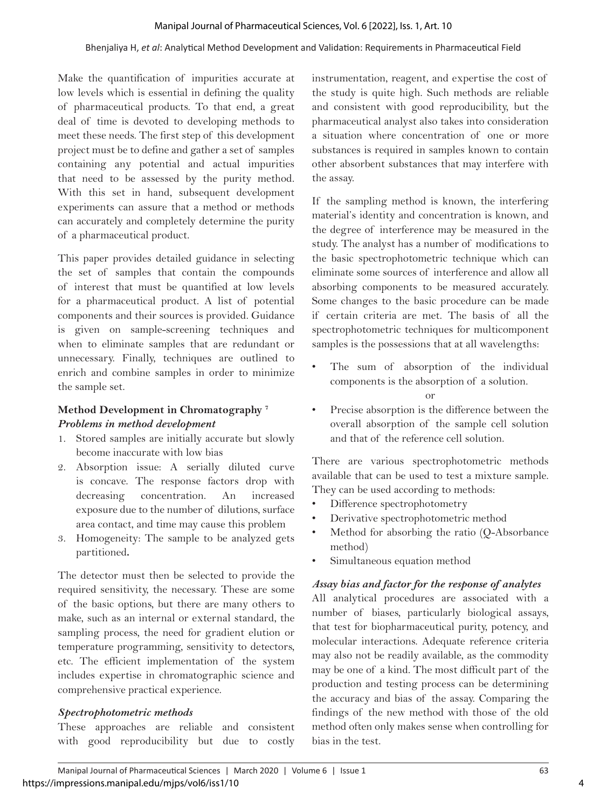#### Bhenjaliya H, *et al*: Analytical Method Development and Validation: Requirements in Pharmaceutical Field

Make the quantification of impurities accurate at low levels which is essential in defining the quality of pharmaceutical products. To that end, a great deal of time is devoted to developing methods to meet these needs. The first step of this development project must be to define and gather a set of samples containing any potential and actual impurities that need to be assessed by the purity method. With this set in hand, subsequent development experiments can assure that a method or methods can accurately and completely determine the purity of a pharmaceutical product.

This paper provides detailed guidance in selecting the set of samples that contain the compounds of interest that must be quantified at low levels for a pharmaceutical product. A list of potential components and their sources is provided. Guidance is given on sample-screening techniques and when to eliminate samples that are redundant or unnecessary. Finally, techniques are outlined to enrich and combine samples in order to minimize the sample set.

#### **Method Development in Chromatography 7** *Problems in method development*

- 1. Stored samples are initially accurate but slowly become inaccurate with low bias
- 2. Absorption issue: A serially diluted curve is concave. The response factors drop with decreasing concentration. An increased exposure due to the number of dilutions, surface area contact, and time may cause this problem
- 3. Homogeneity: The sample to be analyzed gets partitioned**.**

The detector must then be selected to provide the required sensitivity, the necessary. These are some of the basic options, but there are many others to make, such as an internal or external standard, the sampling process, the need for gradient elution or temperature programming, sensitivity to detectors, etc. The efficient implementation of the system includes expertise in chromatographic science and comprehensive practical experience.

#### *Spectrophotometric methods*

These approaches are reliable and consistent with good reproducibility but due to costly instrumentation, reagent, and expertise the cost of the study is quite high. Such methods are reliable and consistent with good reproducibility, but the pharmaceutical analyst also takes into consideration a situation where concentration of one or more substances is required in samples known to contain other absorbent substances that may interfere with the assay.

If the sampling method is known, the interfering material's identity and concentration is known, and the degree of interference may be measured in the study. The analyst has a number of modifications to the basic spectrophotometric technique which can eliminate some sources of interference and allow all absorbing components to be measured accurately. Some changes to the basic procedure can be made if certain criteria are met. The basis of all the spectrophotometric techniques for multicomponent samples is the possessions that at all wavelengths:

- The sum of absorption of the individual components is the absorption of a solution.
	- or
- Precise absorption is the difference between the overall absorption of the sample cell solution and that of the reference cell solution.

There are various spectrophotometric methods available that can be used to test a mixture sample. They can be used according to methods:

- Difference spectrophotometry
- Derivative spectrophotometric method
- Method for absorbing the ratio (Q-Absorbance method)
- Simultaneous equation method

#### *Assay bias and factor for the response of analytes*

All analytical procedures are associated with a number of biases, particularly biological assays, that test for biopharmaceutical purity, potency, and molecular interactions. Adequate reference criteria may also not be readily available, as the commodity may be one of a kind. The most difficult part of the production and testing process can be determining the accuracy and bias of the assay. Comparing the findings of the new method with those of the old method often only makes sense when controlling for bias in the test.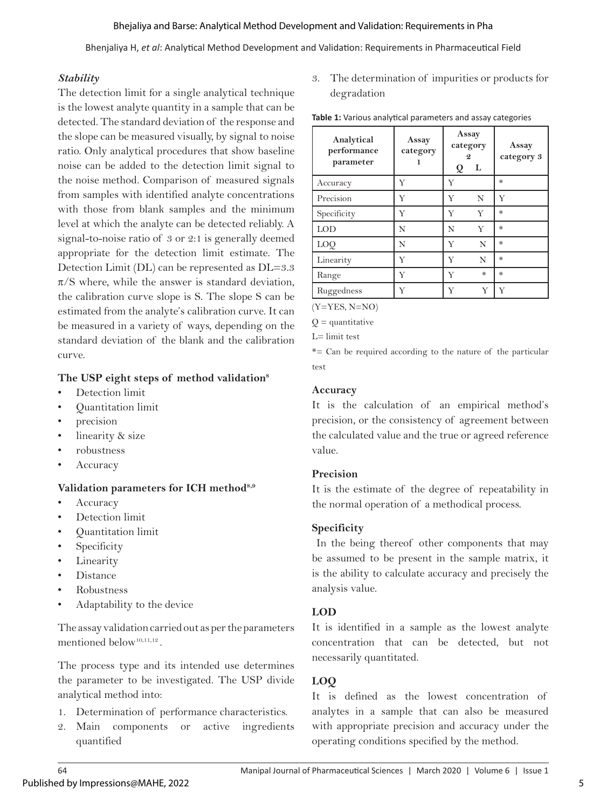Bhenjaliya H, *et al*: Analytical Method Development and Validation: Requirements in Pharmaceutical Field

#### *Stability*

The detection limit for a single analytical technique is the lowest analyte quantity in a sample that can be detected. The standard deviation of the response and the slope can be measured visually, by signal to noise ratio. Only analytical procedures that show baseline noise can be added to the detection limit signal to the noise method. Comparison of measured signals from samples with identified analyte concentrations with those from blank samples and the minimum level at which the analyte can be detected reliably. A signal-to-noise ratio of 3 or 2:1 is generally deemed appropriate for the detection limit estimate. The Detection Limit (DL) can be represented as DL=3.3  $\pi$ /S where, while the answer is standard deviation, the calibration curve slope is S. The slope S can be estimated from the analyte's calibration curve. It can be measured in a variety of ways, depending on the standard deviation of the blank and the calibration curve.

## **The USP eight steps of method validation8**

- Detection limit
- Quantitation limit
- precision
- linearity & size
- robustness
- **Accuracy**

#### **Validation parameters for ICH method8,9**

- Accuracy
- Detection limit
- Quantitation limit
- Specificity
- **Linearity**
- Distance
- Robustness
- Adaptability to the device

The assay validation carried out as per the parameters mentioned below<sup>10,11,12</sup>.

The process type and its intended use determines the parameter to be investigated. The USP divide analytical method into:

- 1. Determination of performance characteristics.
- 2. Main components or active ingredients quantified

3. The determination of impurities or products for degradation

| Analytical<br>performance<br>parameter | Assay<br>category | Assay<br>category<br>L<br>Q |   | Assay<br>category 3 |
|----------------------------------------|-------------------|-----------------------------|---|---------------------|
| Accuracy                               | Y                 | Y                           |   | ₩                   |
| Precision                              | Y                 | Y                           | N | Y                   |
| Specificity                            | Y                 | Y                           | Y | ₩                   |
| <b>LOD</b>                             | N                 | N                           | Y | ₩                   |
| LOQ                                    | N                 | Y                           | N | ⋇                   |
| Linearity                              | Y                 | Y                           | N | ₩                   |
| Range                                  | Y                 | Y                           | ₩ | ₩                   |
| Ruggedness                             | Y                 | Y                           | Y | Y                   |

**Table 1:** Various analytical parameters and assay categories

(Y=YES, N=NO)

 $Q =$ quantitative

L= limit test

\*= Can be required according to the nature of the particular test

#### **Accuracy**

It is the calculation of an empirical method's precision, or the consistency of agreement between the calculated value and the true or agreed reference value.

#### **Precision**

It is the estimate of the degree of repeatability in the normal operation of a methodical process.

# **Specificity**

 In the being thereof other components that may be assumed to be present in the sample matrix, it is the ability to calculate accuracy and precisely the analysis value.

# **LOD**

It is identified in a sample as the lowest analyte concentration that can be detected, but not necessarily quantitated.

# **LOQ**

It is defined as the lowest concentration of analytes in a sample that can also be measured with appropriate precision and accuracy under the operating conditions specified by the method.